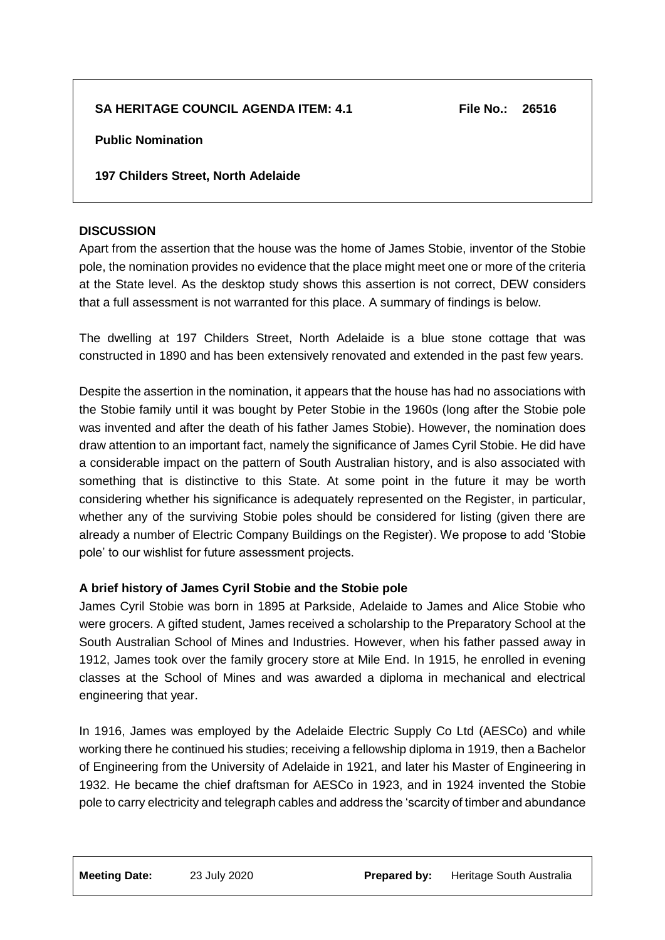# **SA HERITAGE COUNCIL AGENDA ITEM: 4.1 File No.: 26516**

**Public Nomination**

**197 Childers Street, North Adelaide**

# **DISCUSSION**

Apart from the assertion that the house was the home of James Stobie, inventor of the Stobie pole, the nomination provides no evidence that the place might meet one or more of the criteria at the State level. As the desktop study shows this assertion is not correct, DEW considers that a full assessment is not warranted for this place. A summary of findings is below.

The dwelling at 197 Childers Street, North Adelaide is a blue stone cottage that was constructed in 1890 and has been extensively renovated and extended in the past few years.

Despite the assertion in the nomination, it appears that the house has had no associations with the Stobie family until it was bought by Peter Stobie in the 1960s (long after the Stobie pole was invented and after the death of his father James Stobie). However, the nomination does draw attention to an important fact, namely the significance of James Cyril Stobie. He did have a considerable impact on the pattern of South Australian history, and is also associated with something that is distinctive to this State. At some point in the future it may be worth considering whether his significance is adequately represented on the Register, in particular, whether any of the surviving Stobie poles should be considered for listing (given there are already a number of Electric Company Buildings on the Register). We propose to add 'Stobie pole' to our wishlist for future assessment projects.

# **A brief history of James Cyril Stobie and the Stobie pole**

James Cyril Stobie was born in 1895 at Parkside, Adelaide to James and Alice Stobie who were grocers. A gifted student, James received a scholarship to the Preparatory School at the South Australian School of Mines and Industries. However, when his father passed away in 1912, James took over the family grocery store at Mile End. In 1915, he enrolled in evening classes at the School of Mines and was awarded a diploma in mechanical and electrical engineering that year.

In 1916, James was employed by the Adelaide Electric Supply Co Ltd (AESCo) and while working there he continued his studies; receiving a fellowship diploma in 1919, then a Bachelor of Engineering from the University of Adelaide in 1921, and later his Master of Engineering in 1932. He became the chief draftsman for AESCo in 1923, and in 1924 invented the Stobie pole to carry electricity and telegraph cables and address the 'scarcity of timber and abundance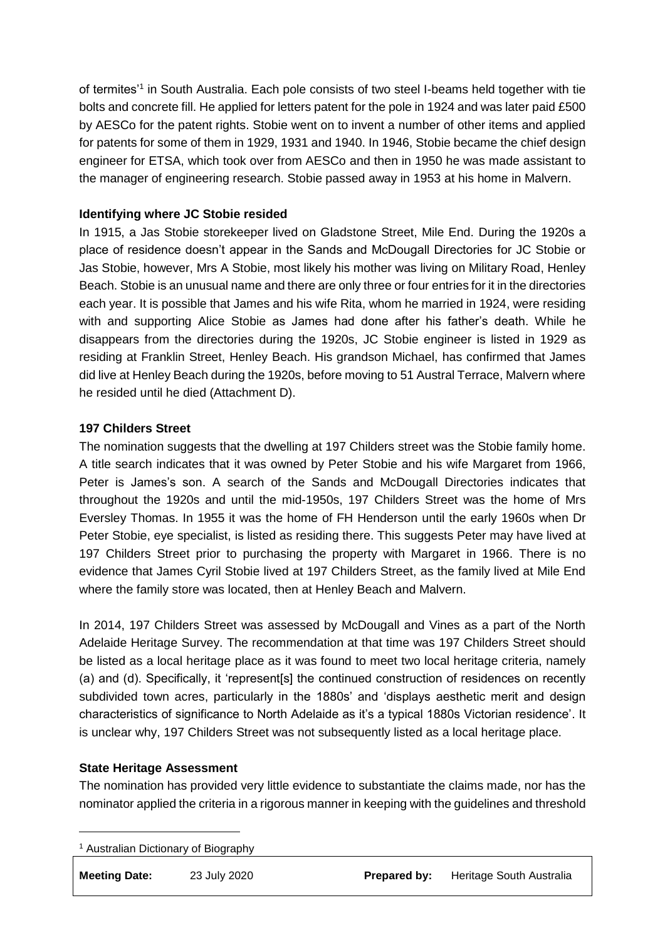of termites'1 in South Australia. Each pole consists of two steel I-beams held together with tie bolts and concrete fill. He applied for letters patent for the pole in 1924 and was later paid £500 by AESCo for the patent rights. Stobie went on to invent a number of other items and applied for patents for some of them in 1929, 1931 and 1940. In 1946, Stobie became the chief design engineer for ETSA, which took over from AESCo and then in 1950 he was made assistant to the manager of engineering research. Stobie passed away in 1953 at his home in Malvern.

## **Identifying where JC Stobie resided**

In 1915, a Jas Stobie storekeeper lived on Gladstone Street, Mile End. During the 1920s a place of residence doesn't appear in the Sands and McDougall Directories for JC Stobie or Jas Stobie, however, Mrs A Stobie, most likely his mother was living on Military Road, Henley Beach. Stobie is an unusual name and there are only three or four entries for it in the directories each year. It is possible that James and his wife Rita, whom he married in 1924, were residing with and supporting Alice Stobie as James had done after his father's death. While he disappears from the directories during the 1920s, JC Stobie engineer is listed in 1929 as residing at Franklin Street, Henley Beach. His grandson Michael, has confirmed that James did live at Henley Beach during the 1920s, before moving to 51 Austral Terrace, Malvern where he resided until he died (Attachment D).

#### **197 Childers Street**

The nomination suggests that the dwelling at 197 Childers street was the Stobie family home. A title search indicates that it was owned by Peter Stobie and his wife Margaret from 1966, Peter is James's son. A search of the Sands and McDougall Directories indicates that throughout the 1920s and until the mid-1950s, 197 Childers Street was the home of Mrs Eversley Thomas. In 1955 it was the home of FH Henderson until the early 1960s when Dr Peter Stobie, eye specialist, is listed as residing there. This suggests Peter may have lived at 197 Childers Street prior to purchasing the property with Margaret in 1966. There is no evidence that James Cyril Stobie lived at 197 Childers Street, as the family lived at Mile End where the family store was located, then at Henley Beach and Malvern.

In 2014, 197 Childers Street was assessed by McDougall and Vines as a part of the North Adelaide Heritage Survey. The recommendation at that time was 197 Childers Street should be listed as a local heritage place as it was found to meet two local heritage criteria, namely (a) and (d). Specifically, it 'represent[s] the continued construction of residences on recently subdivided town acres, particularly in the 1880s' and 'displays aesthetic merit and design characteristics of significance to North Adelaide as it's a typical 1880s Victorian residence'. It is unclear why, 197 Childers Street was not subsequently listed as a local heritage place.

#### **State Heritage Assessment**

The nomination has provided very little evidence to substantiate the claims made, nor has the nominator applied the criteria in a rigorous manner in keeping with the guidelines and threshold

<sup>1</sup> Australian Dictionary of Biography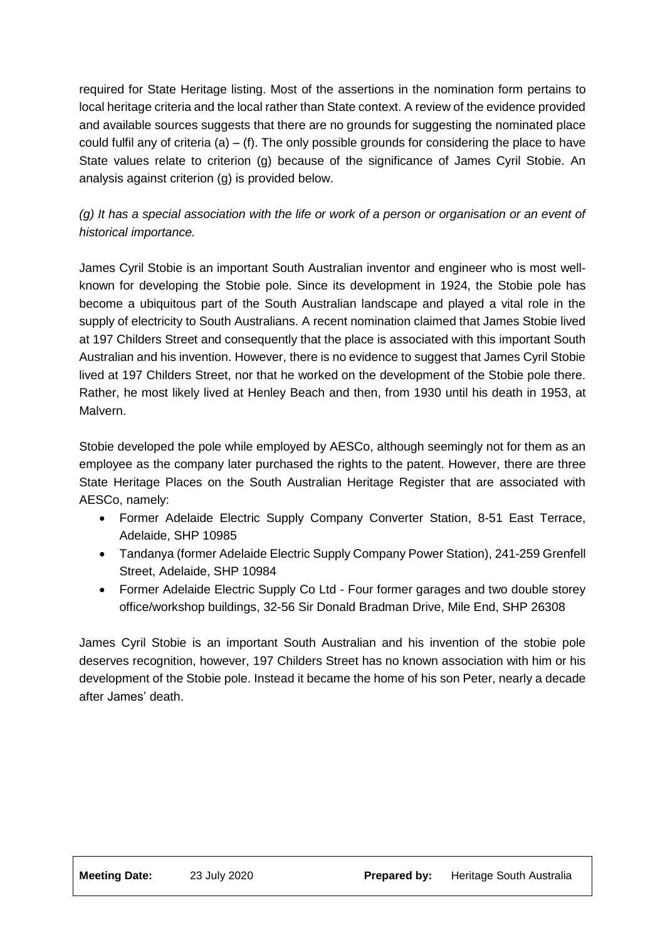required for State Heritage listing. Most of the assertions in the nomination form pertains to local heritage criteria and the local rather than State context. A review of the evidence provided and available sources suggests that there are no grounds for suggesting the nominated place could fulfil any of criteria  $(a) - (f)$ . The only possible grounds for considering the place to have State values relate to criterion (g) because of the significance of James Cyril Stobie. An analysis against criterion (g) is provided below.

*(g) It has a special association with the life or work of a person or organisation or an event of historical importance.* 

James Cyril Stobie is an important South Australian inventor and engineer who is most wellknown for developing the Stobie pole. Since its development in 1924, the Stobie pole has become a ubiquitous part of the South Australian landscape and played a vital role in the supply of electricity to South Australians. A recent nomination claimed that James Stobie lived at 197 Childers Street and consequently that the place is associated with this important South Australian and his invention. However, there is no evidence to suggest that James Cyril Stobie lived at 197 Childers Street, nor that he worked on the development of the Stobie pole there. Rather, he most likely lived at Henley Beach and then, from 1930 until his death in 1953, at Malvern.

Stobie developed the pole while employed by AESCo, although seemingly not for them as an employee as the company later purchased the rights to the patent. However, there are three State Heritage Places on the South Australian Heritage Register that are associated with AESCo, namely:

- Former Adelaide Electric Supply Company Converter Station, 8-51 East Terrace, Adelaide, SHP 10985
- Tandanya (former Adelaide Electric Supply Company Power Station), 241-259 Grenfell Street, Adelaide, SHP 10984
- Former Adelaide Electric Supply Co Ltd Four former garages and two double storey office/workshop buildings, 32-56 Sir Donald Bradman Drive, Mile End, SHP 26308

James Cyril Stobie is an important South Australian and his invention of the stobie pole deserves recognition, however, 197 Childers Street has no known association with him or his development of the Stobie pole. Instead it became the home of his son Peter, nearly a decade after James' death.